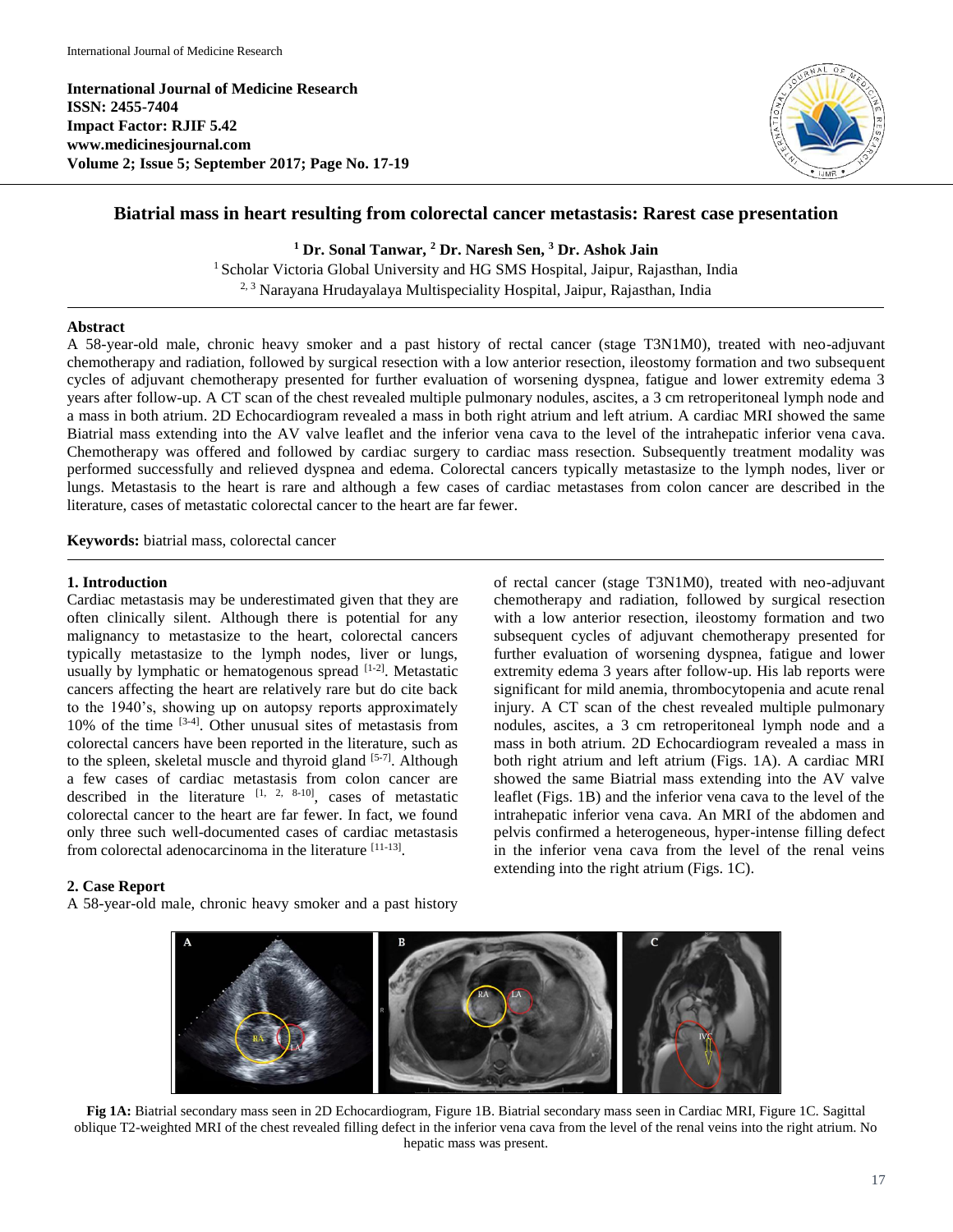**International Journal of Medicine Research ISSN: 2455-7404 Impact Factor: RJIF 5.42 www.medicinesjournal.com Volume 2; Issue 5; September 2017; Page No. 17-19**



# **Biatrial mass in heart resulting from colorectal cancer metastasis: Rarest case presentation**

**<sup>1</sup> Dr. Sonal Tanwar, <sup>2</sup> Dr. Naresh Sen, <sup>3</sup> Dr. Ashok Jain**

<sup>1</sup> Scholar Victoria Global University and HG SMS Hospital, Jaipur, Rajasthan, India 2, 3 Narayana Hrudayalaya Multispeciality Hospital, Jaipur, Rajasthan, India

#### **Abstract**

A 58-year-old male, chronic heavy smoker and a past history of rectal cancer (stage T3N1M0), treated with neo-adjuvant chemotherapy and radiation, followed by surgical resection with a low anterior resection, ileostomy formation and two subsequent cycles of adjuvant chemotherapy presented for further evaluation of worsening dyspnea, fatigue and lower extremity edema 3 years after follow-up. A CT scan of the chest revealed multiple pulmonary nodules, ascites, a 3 cm retroperitoneal lymph node and a mass in both atrium. 2D Echocardiogram revealed a mass in both right atrium and left atrium. A cardiac MRI showed the same Biatrial mass extending into the AV valve leaflet and the inferior vena cava to the level of the intrahepatic inferior vena cava. Chemotherapy was offered and followed by cardiac surgery to cardiac mass resection. Subsequently treatment modality was performed successfully and relieved dyspnea and edema. Colorectal cancers typically metastasize to the lymph nodes, liver or lungs. Metastasis to the heart is rare and although a few cases of cardiac metastases from colon cancer are described in the literature, cases of metastatic colorectal cancer to the heart are far fewer.

**Keywords:** biatrial mass, colorectal cancer

#### **1. Introduction**

Cardiac metastasis may be underestimated given that they are often clinically silent. Although there is potential for any malignancy to metastasize to the heart, colorectal cancers typically metastasize to the lymph nodes, liver or lungs, usually by lymphatic or hematogenous spread [1-2]. Metastatic cancers affecting the heart are relatively rare but do cite back to the 1940's, showing up on autopsy reports approximately 10% of the time [3-4]. Other unusual sites of metastasis from colorectal cancers have been reported in the literature, such as to the spleen, skeletal muscle and thyroid gland [5-7]. Although a few cases of cardiac metastasis from colon cancer are described in the literature  $[1, 2, 8-10]$ , cases of metastatic colorectal cancer to the heart are far fewer. In fact, we found only three such well-documented cases of cardiac metastasis from colorectal adenocarcinoma in the literature [11-13].

#### **2. Case Report**

A 58-year-old male, chronic heavy smoker and a past history

of rectal cancer (stage T3N1M0), treated with neo-adjuvant chemotherapy and radiation, followed by surgical resection with a low anterior resection, ileostomy formation and two subsequent cycles of adjuvant chemotherapy presented for further evaluation of worsening dyspnea, fatigue and lower extremity edema 3 years after follow-up. His lab reports were significant for mild anemia, thrombocytopenia and acute renal injury. A CT scan of the chest revealed multiple pulmonary nodules, ascites, a 3 cm retroperitoneal lymph node and a mass in both atrium. 2D Echocardiogram revealed a mass in both right atrium and left atrium (Figs. 1A). A cardiac MRI showed the same Biatrial mass extending into the AV valve leaflet (Figs. 1B) and the inferior vena cava to the level of the intrahepatic inferior vena cava*.* An MRI of the abdomen and pelvis confirmed a heterogeneous, hyper-intense filling defect in the inferior vena cava from the level of the renal veins extending into the right atrium (Figs. 1C).



**Fig 1A:** Biatrial secondary mass seen in 2D Echocardiogram, Figure 1B. Biatrial secondary mass seen in Cardiac MRI, Figure 1C. Sagittal oblique T2-weighted MRI of the chest revealed filling defect in the inferior vena cava from the level of the renal veins into the right atrium. No hepatic mass was present.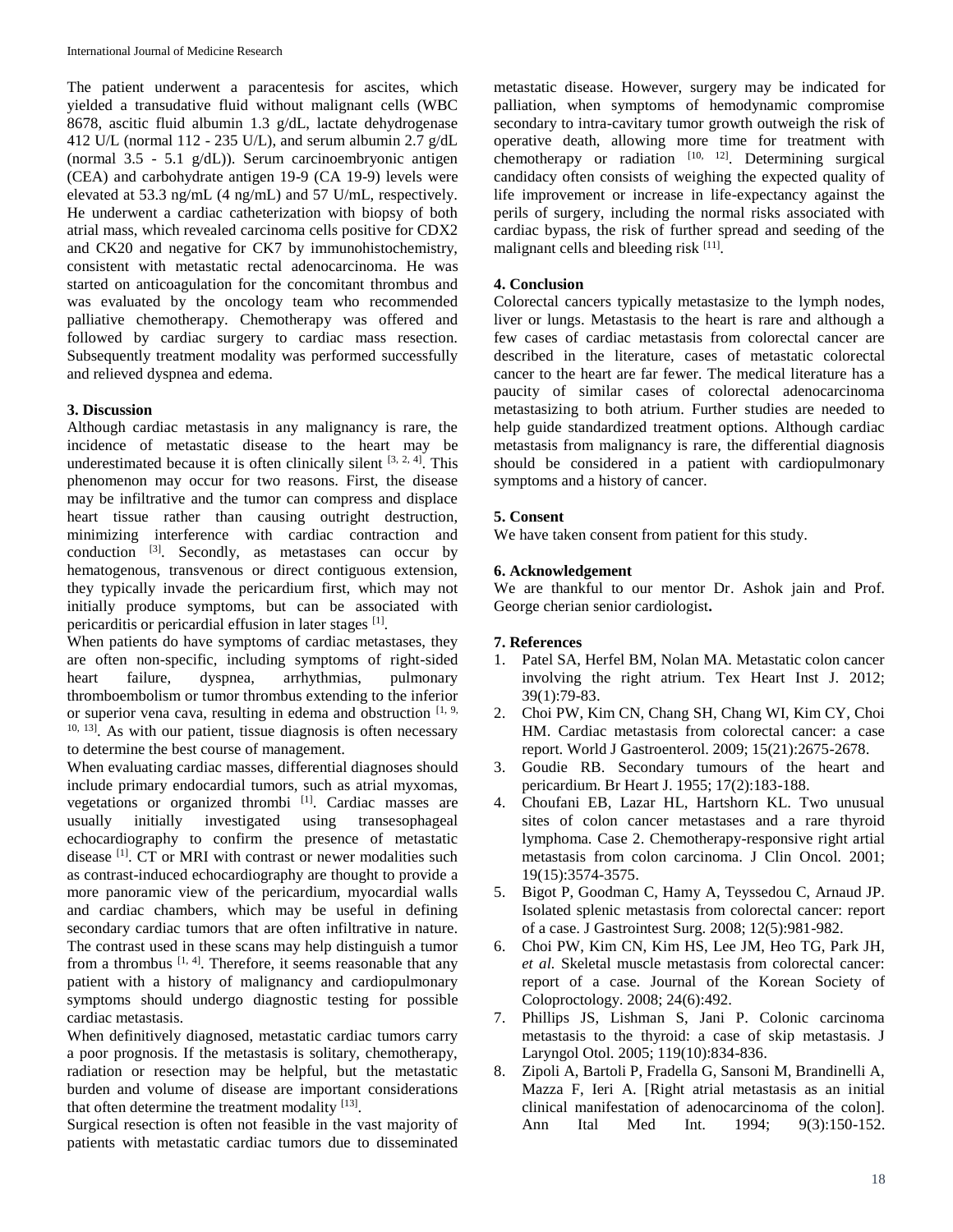The patient underwent a paracentesis for ascites, which yielded a transudative fluid without malignant cells (WBC 8678, ascitic fluid albumin 1.3 g/dL, lactate dehydrogenase 412 U/L (normal 112 - 235 U/L), and serum albumin 2.7  $g/dL$ (normal 3.5 - 5.1 g/dL)). Serum carcinoembryonic antigen (CEA) and carbohydrate antigen 19-9 (CA 19-9) levels were elevated at 53.3 ng/mL (4 ng/mL) and 57 U/mL, respectively. He underwent a cardiac catheterization with biopsy of both atrial mass, which revealed carcinoma cells positive for CDX2 and CK20 and negative for CK7 by immunohistochemistry, consistent with metastatic rectal adenocarcinoma. He was started on anticoagulation for the concomitant thrombus and was evaluated by the oncology team who recommended palliative chemotherapy. Chemotherapy was offered and followed by cardiac surgery to cardiac mass resection. Subsequently treatment modality was performed successfully and relieved dyspnea and edema.

### **3. Discussion**

Although cardiac metastasis in any malignancy is rare, the incidence of metastatic disease to the heart may be underestimated because it is often clinically silent  $[3, 2, 4]$ . This phenomenon may occur for two reasons. First, the disease may be infiltrative and the tumor can compress and displace heart tissue rather than causing outright destruction, minimizing interference with cardiac contraction and conduction  $[3]$ . Secondly, as metastases can occur by hematogenous, transvenous or direct contiguous extension, they typically invade the pericardium first, which may not initially produce symptoms, but can be associated with pericarditis or pericardial effusion in later stages [1].

When patients do have symptoms of cardiac metastases, they are often non-specific, including symptoms of right-sided heart failure, dyspnea, arrhythmias, pulmonary thromboembolism or tumor thrombus extending to the inferior or superior vena cava, resulting in edema and obstruction  $[1, 9, 9]$  $10, 13$ . As with our patient, tissue diagnosis is often necessary to determine the best course of management.

When evaluating cardiac masses, differential diagnoses should include primary endocardial tumors, such as atrial myxomas, vegetations or organized thrombi [1]. Cardiac masses are usually initially investigated using transesophageal echocardiography to confirm the presence of metastatic disease <sup>[1]</sup>. CT or MRI with contrast or newer modalities such as contrast-induced echocardiography are thought to provide a more panoramic view of the pericardium, myocardial walls and cardiac chambers, which may be useful in defining secondary cardiac tumors that are often infiltrative in nature. The contrast used in these scans may help distinguish a tumor from a thrombus  $[1, 4]$ . Therefore, it seems reasonable that any patient with a history of malignancy and cardiopulmonary symptoms should undergo diagnostic testing for possible cardiac metastasis.

When definitively diagnosed, metastatic cardiac tumors carry a poor prognosis. If the metastasis is solitary, chemotherapy, radiation or resection may be helpful, but the metastatic burden and volume of disease are important considerations that often determine the treatment modality [13].

Surgical resection is often not feasible in the vast majority of patients with metastatic cardiac tumors due to disseminated

metastatic disease. However, surgery may be indicated for palliation, when symptoms of hemodynamic compromise secondary to intra-cavitary tumor growth outweigh the risk of operative death, allowing more time for treatment with chemotherapy or radiation  $[10, 12]$ . Determining surgical candidacy often consists of weighing the expected quality of life improvement or increase in life-expectancy against the perils of surgery, including the normal risks associated with cardiac bypass, the risk of further spread and seeding of the malignant cells and bleeding risk [11].

## **4. Conclusion**

Colorectal cancers typically metastasize to the lymph nodes, liver or lungs. Metastasis to the heart is rare and although a few cases of cardiac metastasis from colorectal cancer are described in the literature, cases of metastatic colorectal cancer to the heart are far fewer. The medical literature has a paucity of similar cases of colorectal adenocarcinoma metastasizing to both atrium. Further studies are needed to help guide standardized treatment options. Although cardiac metastasis from malignancy is rare, the differential diagnosis should be considered in a patient with cardiopulmonary symptoms and a history of cancer.

### **5. Consent**

We have taken consent from patient for this study.

### **6. Acknowledgement**

We are thankful to our mentor Dr. Ashok jain and Prof. George cherian senior cardiologist**.**

#### **7. References**

- 1. Patel SA, Herfel BM, Nolan MA. Metastatic colon cancer involving the right atrium. Tex Heart Inst J. 2012; 39(1):79-83.
- 2. Choi PW, Kim CN, Chang SH, Chang WI, Kim CY, Choi HM. Cardiac metastasis from colorectal cancer: a case report. World J Gastroenterol. 2009; 15(21):2675-2678.
- 3. Goudie RB. Secondary tumours of the heart and pericardium. Br Heart J. 1955; 17(2):183-188.
- 4. Choufani EB, Lazar HL, Hartshorn KL. Two unusual sites of colon cancer metastases and a rare thyroid lymphoma. Case 2. Chemotherapy-responsive right artial metastasis from colon carcinoma. J Clin Oncol. 2001; 19(15):3574-3575.
- 5. Bigot P, Goodman C, Hamy A, Teyssedou C, Arnaud JP. Isolated splenic metastasis from colorectal cancer: report of a case. J Gastrointest Surg. 2008; 12(5):981-982.
- 6. Choi PW, Kim CN, Kim HS, Lee JM, Heo TG, Park JH, *et al.* Skeletal muscle metastasis from colorectal cancer: report of a case. Journal of the Korean Society of Coloproctology. 2008; 24(6):492.
- 7. Phillips JS, Lishman S, Jani P. Colonic carcinoma metastasis to the thyroid: a case of skip metastasis. J Laryngol Otol. 2005; 119(10):834-836.
- 8. Zipoli A, Bartoli P, Fradella G, Sansoni M, Brandinelli A, Mazza F, Ieri A. [Right atrial metastasis as an initial clinical manifestation of adenocarcinoma of the colon]. Ann Ital Med Int. 1994; 9(3):150-152.